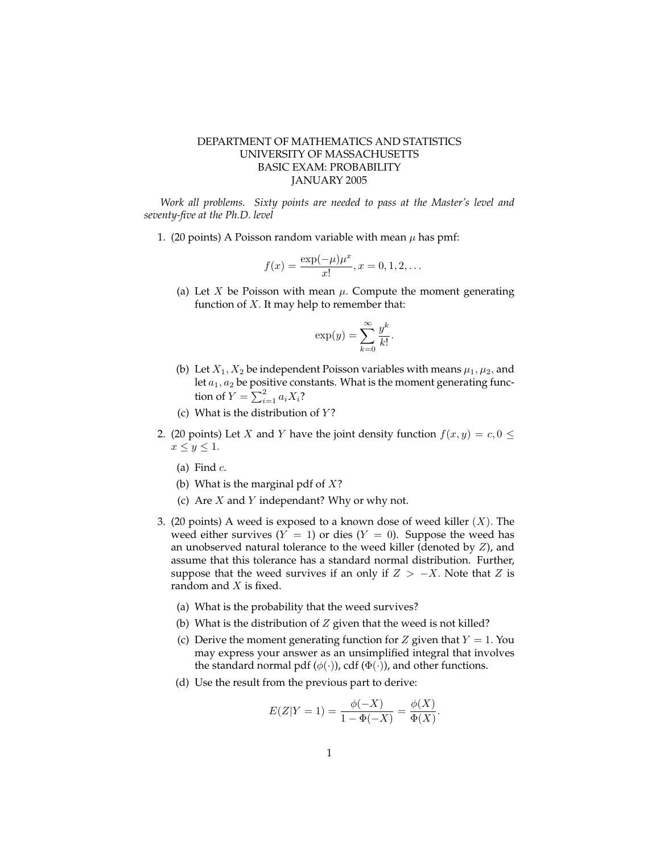## DEPARTMENT OF MATHEMATICS AND STATISTICS UNIVERSITY OF MASSACHUSETTS BASIC EXAM: PROBABILITY JANUARY 2005

*Work all problems. Sixty points are needed to pass at the Master's level and seventy-five at the Ph.D. level*

1. (20 points) A Poisson random variable with mean  $\mu$  has pmf:

$$
f(x) = \frac{\exp(-\mu)\mu^x}{x!}, x = 0, 1, 2, \dots
$$

(a) Let X be Poisson with mean  $\mu$ . Compute the moment generating function of  $X$ . It may help to remember that:

$$
\exp(y) = \sum_{k=0}^{\infty} \frac{y^k}{k!}.
$$

- (b) Let  $X_1, X_2$  be independent Poisson variables with means  $\mu_1, \mu_2$ , and let  $a_1, a_2$  be positive constants. What is the moment generating function of  $Y = \sum_{i=1}^{2} a_i X_i$ ?
- (c) What is the distribution of  $Y$ ?
- 2. (20 points) Let X and Y have the joint density function  $f(x, y) = c, 0 \leq$  $x \leq y \leq 1$ .
	- (a) Find  $c$ .
	- (b) What is the marginal pdf of  $X$ ?
	- (c) Are  $X$  and  $Y$  independant? Why or why not.
- 3. (20 points) A weed is exposed to a known dose of weed killer  $(X)$ . The weed either survives  $(Y = 1)$  or dies  $(Y = 0)$ . Suppose the weed has an unobserved natural tolerance to the weed killer (denoted by  $Z$ ), and assume that this tolerance has a standard normal distribution. Further, suppose that the weed survives if an only if  $Z > -X$ . Note that Z is random and X is fixed.
	- (a) What is the probability that the weed survives?
	- (b) What is the distribution of  $Z$  given that the weed is not killed?
	- (c) Derive the moment generating function for  $Z$  given that  $Y = 1$ . You may express your answer as an unsimplified integral that involves the standard normal pdf ( $\phi(\cdot)$ ), cdf ( $\Phi(\cdot)$ ), and other functions.
	- (d) Use the result from the previous part to derive:

$$
E(Z|Y=1) = \frac{\phi(-X)}{1 - \Phi(-X)} = \frac{\phi(X)}{\Phi(X)}.
$$